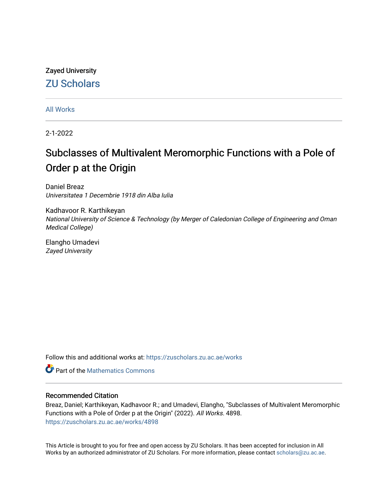# Zayed University [ZU Scholars](https://zuscholars.zu.ac.ae/)

[All Works](https://zuscholars.zu.ac.ae/works)

2-1-2022

# Subclasses of Multivalent Meromorphic Functions with a Pole of Order p at the Origin

Daniel Breaz Universitatea 1 Decembrie 1918 din Alba Iulia

Kadhavoor R. Karthikeyan National University of Science & Technology (by Merger of Caledonian College of Engineering and Oman Medical College)

Elangho Umadevi Zayed University

Follow this and additional works at: [https://zuscholars.zu.ac.ae/works](https://zuscholars.zu.ac.ae/works?utm_source=zuscholars.zu.ac.ae%2Fworks%2F4898&utm_medium=PDF&utm_campaign=PDFCoverPages)

**C** Part of the [Mathematics Commons](http://network.bepress.com/hgg/discipline/174?utm_source=zuscholars.zu.ac.ae%2Fworks%2F4898&utm_medium=PDF&utm_campaign=PDFCoverPages)

# Recommended Citation

Breaz, Daniel; Karthikeyan, Kadhavoor R.; and Umadevi, Elangho, "Subclasses of Multivalent Meromorphic Functions with a Pole of Order p at the Origin" (2022). All Works. 4898. [https://zuscholars.zu.ac.ae/works/4898](https://zuscholars.zu.ac.ae/works/4898?utm_source=zuscholars.zu.ac.ae%2Fworks%2F4898&utm_medium=PDF&utm_campaign=PDFCoverPages)

This Article is brought to you for free and open access by ZU Scholars. It has been accepted for inclusion in All Works by an authorized administrator of ZU Scholars. For more information, please contact [scholars@zu.ac.ae](mailto:scholars@zu.ac.ae).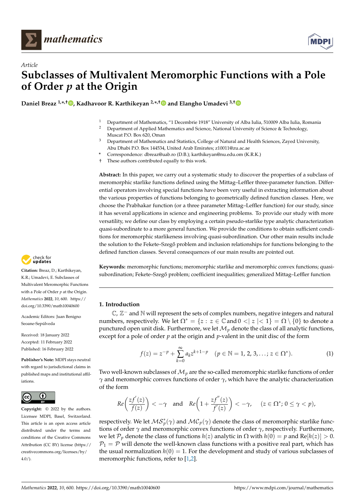



# *Article* **Subclasses of Multivalent Meromorphic Functions with a Pole of Order** *p* **at the Origin**

**Daniel Breaz 1,\* ,† [,](https://orcid.org/0000-0002-0095-1346) Kadhavoor R. Karthikeyan 2,\* ,[†](https://orcid.org/0000-0002-6943-0047) and Elangho Umadevi 3,[†](https://orcid.org/0000-0003-0969-0397)**

- <sup>1</sup> Department of Mathematics, "1 Decembrie 1918" University of Alba Iulia, 510009 Alba Iulia, Romania<br><sup>2</sup> Department of Applied Mathematics and Science National University of Science & Technology
- <sup>2</sup> Department of Applied Mathematics and Science, National University of Science & Technology, Muscat P.O. Box 620, Oman
- <sup>3</sup> Department of Mathematics and Statistics, College of Natural and Health Sciences, Zayed University, Abu Dhabi P.O. Box 144534, United Arab Emirates; z10011@zu.ac.ae
- **\*** Correspondence: dbreaz@uab.ro (D.B.); karthikeyan@nu.edu.om (K.R.K.)
- † These authors contributed equally to this work.

**Abstract:** In this paper, we carry out a systematic study to discover the properties of a subclass of meromorphic starlike functions defined using the Mittag–Leffler three-parameter function. Differential operators involving special functions have been very useful in extracting information about the various properties of functions belonging to geometrically defined function classes. Here, we choose the Prabhakar function (or a three parameter Mittag–Leffler function) for our study, since it has several applications in science and engineering problems. To provide our study with more versatility, we define our class by employing a certain pseudo-starlike type analytic characterization quasi-subordinate to a more general function. We provide the conditions to obtain sufficient conditions for meromorphic starlikeness involving quasi-subordination. Our other main results include the solution to the Fekete–Szegő problem and inclusion relationships for functions belonging to the defined function classes. Several consequences of our main results are pointed out.



### **1. Introduction**

 $\mathbb{C}$ ,  $\mathbb{Z}^-$  and  $\mathbb{N}$  will represent the sets of complex numbers, negative integers and natural numbers, respectively. We let  $\Omega^* = \{z : z \in \mathbb{C} \text{ and } 0 < |z| < 1\} = \Omega \setminus \{0\}$  to denote a punctured open unit disk. Furthermore, we let  $\mathcal{M}_p$  denote the class of all analytic functions, except for a pole of order *p* at the origin and *p*-valent in the unit disc of the form

<span id="page-1-0"></span>
$$
f(z) = z^{-p} + \sum_{k=0}^{\infty} a_k z^{k+1-p} \quad (p \in \mathbb{N} = 1, 2, 3, \dots; z \in \Omega^*).
$$
 (1)

Two well-known subclasses of  $\mathcal{M}_p$  are the so-called meromorphic starlike functions of order *γ* and meromorphic convex functions of order *γ*, which have the analytic characterization of the form

$$
Re\bigg(\frac{zf'(z)}{f(z)}\bigg)<-\gamma\quad\text{and}\quad Re\bigg(1+\frac{zf''(z)}{f'(z)}\bigg)<-\gamma,\quad \ (z\in\Omega^*;0\leq\gamma< p),
$$

respectively. We let  $\mathcal{MS}_p^*(\gamma)$  and  $\mathcal{MC}_p(\gamma)$  denote the class of meromorphic starlike functions of order *γ* and meromorphic convex functions of order *γ*, respectively. Furthermore, we let  $\mathcal{P}_p$  denote the class of functions  $h(z)$  analytic in  $\Omega$  with  $h(0) = p$  and  $\text{Re}[h(z)] > 0$ .  $P_1 = P$  will denote the well-known class functions with a positive real part, which has the usual normalization  $h(0) = 1$ . For the development and study of various subclasses of meromorphic functions, refer to [\[1,](#page-14-0)[2\]](#page-14-1).



**Citation:** Breaz, D.; Karthikeyan, K.R.; Umadevi, E. Subclasses of Multivalent Meromorphic Functions with a Pole of Order *p* at the Origin. *Mathematics* **2022**, *10*, 600. [https://](https://doi.org/10.3390/math10040600) [doi.org/10.3390/math10040600](https://doi.org/10.3390/math10040600)

Academic Editors: Juan Benigno Seoane-Sepúlveda

Received: 18 January 2022 Accepted: 11 February 2022 Published: 16 February 2022

**Publisher's Note:** MDPI stays neutral with regard to jurisdictional claims in published maps and institutional affiliations.



**Copyright:** © 2022 by the authors. Licensee MDPI, Basel, Switzerland. This article is an open access article distributed under the terms and conditions of the Creative Commons Attribution (CC BY) license [\(https://](https://creativecommons.org/licenses/by/4.0/) [creativecommons.org/licenses/by/](https://creativecommons.org/licenses/by/4.0/)  $4.0/$ ).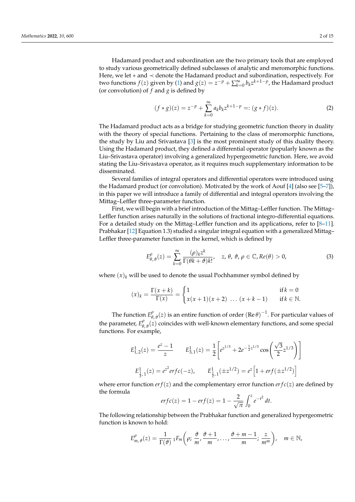Hadamard product and subordination are the two primary tools that are employed to study various geometrically defined subclasses of analytic and meromorphic functions. Here, we let ∗ and ≺ denote the Hadamard product and subordination, respectively. For two functions  $f(z)$  given by [\(1\)](#page-1-0) and  $g(z) = \overline{z}^{-p} + \sum_{k=0}^{\infty} b_k z^{k+1-p}$ , the Hadamard product (or convolution) of *f* and *g* is defined by

$$
(f * g)(z) = z^{-p} + \sum_{k=0}^{\infty} a_k b_k z^{k+1-p} =: (g * f)(z).
$$
 (2)

The Hadamard product acts as a bridge for studying geometric function theory in duality with the theory of special functions. Pertaining to the class of meromorphic functions, the study by Liu and Srivastava [\[3\]](#page-14-2) is the most prominent study of this duality theory. Using the Hadamard product, they defined a differential operator (popularly known as the Liu–Srivastava operator) involving a generalized hypergeometric function. Here, we avoid stating the Liu–Srivastava operator, as it requires much supplementary information to be disseminated.

Several families of integral operators and differential operators were introduced using the Hadamard product (or convolution). Motivated by the work of Aouf  $[4]$  (also see [\[5–](#page-14-4)[7\]](#page-14-5)), in this paper we will introduce a family of differential and integral operators involving the Mittag–Leffler three-parameter function.

First, we will begin with a brief introduction of the Mittag–Leffler function. The Mittag– Leffler function arises naturally in the solutions of fractional integro-differential equations. For a detailed study on the Mittag–Leffler function and its applications, refer to [\[8](#page-14-6)[–11\]](#page-14-7). Prabhakar [\[12\]](#page-14-8) Equation 1.3) studied a singular integral equation with a generalized Mittag– Leffler three-parameter function in the kernel, which is defined by

$$
E^{\rho}_{\theta,\theta}(z) = \sum_{k=0}^{\infty} \frac{(\rho)_k z^k}{\Gamma(\theta k + \theta) k!}, \quad z, \theta, \vartheta, \rho \in \mathbb{C}, Re(\theta) > 0,
$$
 (3)

where  $(x)_k$  will be used to denote the usual Pochhammer symbol defined by

$$
(x)_k = \frac{\Gamma(x+k)}{\Gamma(x)} = \begin{cases} 1 & \text{if } k = 0\\ x(x+1)(x+2) & \dots (x+k-1) & \text{if } k \in \mathbb{N}. \end{cases}
$$

The function  $E^{\rho}_{\theta}$  $^{\rho}_{\theta,\vartheta}(z)$  is an entire function of order (Re  $\theta$ )<sup>-1</sup>. For particular values of the parameter,  $E^{\rho}_{\theta}$  $\theta$ ,  $\theta$  (*z*) coincides with well-known elementary functions, and some special functions. For example,

$$
E_{1,2}^1(z) = \frac{e^z - 1}{z} \qquad E_{3,1}^1(z) = \frac{1}{2} \left[ e^{z^{1/3}} + 2e^{-\frac{1}{2}z^{1/3}} \cos\left(\frac{\sqrt{3}}{2}z^{1/3}\right) \right]
$$

$$
E_{\frac{1}{2},1}^1(z) = e^{z^2} \text{erfc}(-z), \qquad E_{\frac{1}{2},1}^1(\pm z^{1/2}) = e^z \left[1 + \text{erf}(\pm z^{1/2})\right]
$$

where error function  $er f(z)$  and the complementary error function  $er f c(z)$  are defined by the formula

$$
erfc(z) = 1 - erf(z) = 1 - \frac{2}{\sqrt{\pi}} \int_0^z e^{-t^2} dt.
$$

The following relationship between the Prabhakar function and generalized hypergeometric function is known to hold:

$$
E_{m,\vartheta}^{\rho}(z)=\frac{1}{\Gamma(\vartheta)}\,{}_1F_m\bigg(\rho;\,\frac{\vartheta}{m},\frac{\vartheta+1}{m},\ldots,\frac{\vartheta+m-1}{m};\,\frac{z}{m^m}\bigg),\quad m\in\mathbb{N},
$$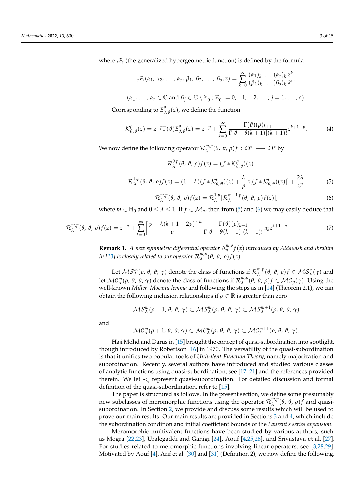where  $rF_s$  (the generalized hypergeometric function) is defined by the formula

$$
{}_{r}F_{s}(\alpha_{1}, \alpha_{2}, \ldots, \alpha_{r}; \beta_{1}, \beta_{2}, \ldots, \beta_{s}; z) = \sum_{k=0}^{\infty} \frac{(\alpha_{1})_{k} \ldots (\alpha_{r})_{k}}{(\beta_{1})_{k} \ldots (\beta_{s})_{k}} \frac{z^{k}}{k!}.
$$
  

$$
(\alpha_{1}, \ldots, \alpha_{r} \in \mathbb{C} \text{ and } \beta_{j} \in \mathbb{C} \setminus \mathbb{Z}_{0}^{-}; \mathbb{Z}_{0}^{-} = 0, -1, -2, \ldots; j = 1, \ldots, s).
$$

Corresponding to *E ρ θ*, *ϑ* (*z*), we define the function

$$
\mathcal{K}^{\rho}_{\theta,\vartheta}(z) = z^{-p} \Gamma(\vartheta) E^{\rho}_{\theta,\vartheta}(z) = z^{-p} + \sum_{k=0}^{\infty} \frac{\Gamma(\vartheta)(\rho)_{k+1}}{\Gamma[\vartheta + \theta(k+1)](k+1)!} z^{k+1-p}.
$$
 (4)

We now define the following operator  $\mathcal{R}_{\lambda}^{m,p}$  $\Omega_{\lambda}^{m,p}(\theta, \theta, \rho) f : Ω^*$  →  $Ω^*$  by

$$
\mathcal{R}_{\lambda}^{0,p}(\theta, \vartheta, \rho) f(z) = (f * \mathcal{K}_{\theta, \vartheta}^{\rho})(z)
$$

<span id="page-3-0"></span>
$$
\mathcal{R}_{\lambda}^{1,p}(\theta,\,\vartheta,\,\rho)f(z)=(1-\lambda)(f\ast\mathcal{K}_{\theta,\,\vartheta}^{\rho})(z)+\frac{\lambda}{p}z[(f\ast\mathcal{K}_{\theta,\,\vartheta}^{\rho})(z)]'+\frac{2\lambda}{z^{p}}\tag{5}
$$

<span id="page-3-1"></span>
$$
\mathcal{R}_{\lambda}^{m,p}(\theta,\vartheta,\rho)f(z) = \mathcal{R}_{\lambda}^{1,p}[\mathcal{R}_{\lambda}^{m-1,p}(\theta,\vartheta,\rho)f(z)],
$$
\n(6)

where  $m \in \mathbb{N}_0$  and  $0 \leq \lambda \leq 1$ . If  $f \in \mathcal{M}_p$ , then from [\(5\)](#page-3-0) and [\(6\)](#page-3-1) we may easily deduce that

<span id="page-3-2"></span>
$$
\mathcal{R}_{\lambda}^{m,p}(\theta,\vartheta,\rho)f(z) = z^{-p} + \sum_{k=0}^{\infty} \left[ \frac{p + \lambda(k+1-2p)}{p} \right]^m \frac{\Gamma(\vartheta)(\rho)_{k+1}}{\Gamma[\vartheta + \theta(k+1)](k+1)!} a_k z^{k+1-p}.
$$
 (7)

**Remark 1.** *A new symmetric differential operator* ∆ *m*,*ρ q f*(*z*) *introduced by Aldawish and Ibrahim* in [\[13\]](#page-14-9) is closely related to our operator  $\mathcal{R}_{\lambda}^{m,p}$  $\int_{\lambda}^{m,p}(\theta,\vartheta,\rho)f(z).$ 

Let  $MS_\lambda^m(\rho, \theta, \vartheta; \gamma)$  denote the class of functions if  $\mathcal{R}_\lambda^{m,p}$  $_{λ}^{m,p}$ (*θ*, *θ*, *ρ*)*f* ∈  $MS_p^*(γ)$  and let  $\mathcal{MC}_{\lambda}^m(\rho ,\theta ,\vartheta ;\gamma )$  denote the class of functions if  $\mathcal{R}_{\lambda}^{m,p}$  $\n <sup>m,p</sup>(θ, θ, ρ) f ∈ \mathcal{MC}_p(γ)$ . Using the well-known *Miller–Mocanu lemma* and following the steps as in [\[14\]](#page-14-10) (Theorem 2.1), we can obtain the following inclusion relationships if  $\rho \in \mathbb{R}$  is greater than zero

$$
\mathcal{MS}^m_\lambda(\rho+1,\,\theta,\,\vartheta;\,\gamma)\subset \mathcal{MS}^m_\lambda(\rho,\,\theta,\,\vartheta;\,\gamma)\subset \mathcal{MS}^{m+1}_\lambda(\rho,\,\theta,\,\vartheta;\,\gamma)
$$

and

$$
\mathcal{MC}_{\lambda}^m(\rho+1,\theta,\vartheta;\gamma)\subset \mathcal{MC}_{\lambda}^m(\rho,\theta,\vartheta;\gamma)\subset \mathcal{MC}_{\lambda}^{m+1}(\rho,\theta,\vartheta;\gamma).
$$

Haji Mohd and Darus in [\[15\]](#page-14-11) brought the concept of quasi-subordination into spotlight, though introduced by Robertson [\[16\]](#page-14-12) in 1970. The versatility of the quasi-subordination is that it unifies two popular tools of *Univalent Function Theory*, namely majorization and subordination. Recently, several authors have introduced and studied various classes of analytic functions using quasi-subordination; see [\[17](#page-15-0)[–21\]](#page-15-1) and the references provided therein. We let  $\prec_q$  represent quasi-subordination. For detailed discussion and formal definition of the quasi-subordination, refer to [\[15\]](#page-14-11).

The paper is structured as follows. In the present section, we define some presumably new subclasses of meromorphic functions using the operator  $\mathcal{R}_{\lambda}^{m,p}$  $\lambda^{m,p}(\theta, \vartheta, \rho) f$  and quasisubordination. In Section [2,](#page-4-0) we provide and discuss some results which will be used to prove our main results. Our main results are provided in Sections [3](#page-5-0) and [4,](#page-8-0) which include the subordination condition and initial coefficient bounds of the *Laurent's series expansion*.

Meromorphic multivalent functions have been studied by various authors, such as Mogra [\[22](#page-15-2)[,23\]](#page-15-3), Uralegaddi and Ganigi [\[24\]](#page-15-4), Aouf [\[4,](#page-14-3)[25,](#page-15-5)[26\]](#page-15-6), and Srivastava et al. [\[27\]](#page-15-7). For studies related to meromorphic functions involving linear operators, see [\[3,](#page-14-2)[28,](#page-15-8)[29\]](#page-15-9). Motivated by Aouf [\[4\]](#page-14-3), Arif et al. [\[30\]](#page-15-10) and [\[31\]](#page-15-11) (Definition 2), we now define the following.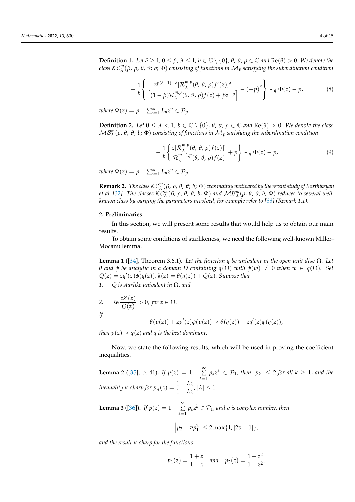<span id="page-4-6"></span>**Definition 1.** *Let*  $\delta \geq 1$ ,  $0 \leq \beta$ ,  $\lambda \leq 1$ ,  $b \in \mathbb{C} \setminus \{0\}$ ,  $\theta$ ,  $\vartheta$ ,  $\rho \in \mathbb{C}$  and  $\text{Re}(\theta) > 0$ . We denote the *class* KC*<sup>m</sup> λ* (*β*, *ρ*, *θ*, *ϑ*; *b*; Φ) *consisting of functions in* M*<sup>p</sup> satisfying the subordination condition*

<span id="page-4-3"></span>
$$
-\frac{1}{b}\left\{\frac{z^{p(\delta-1)+\delta}[\mathcal{R}_{\lambda}^{m,p}(\theta,\vartheta,\rho)f'(z)]^{\delta}}{\left[(1-\beta)\mathcal{R}_{\lambda}^{m,p}(\theta,\vartheta,\rho)f(z)+\beta z^{-p}\right]} - (-p)^{\delta}\right\} \prec_{q} \Phi(z)-p,
$$
(8)

 $where \Phi(z) = p + \sum_{n=1}^{\infty} L_n z^n \in \mathcal{P}_p.$ 

<span id="page-4-7"></span>**Definition 2.** *Let*  $0 \le \lambda < 1$ ,  $b \in \mathbb{C} \setminus \{0\}$ ,  $\theta$ ,  $\vartheta$ ,  $\rho \in \mathbb{C}$  and  $\text{Re}(\theta) > 0$ . We denote the class MB*<sup>m</sup> λ* (*ρ*, *θ*, *ϑ*; *b*; Φ) *consisting of functions in* M*<sup>p</sup> satisfying the subordination condition*

<span id="page-4-1"></span>
$$
-\frac{1}{b} \left\{ \frac{z[\mathcal{R}_{\lambda}^{m,p}(\theta,\vartheta,\rho)f(z)]'}{\mathcal{R}_{\lambda}^{m+1,p}(\theta,\vartheta,\rho)f(z)} + p \right\} \prec_q \Phi(z) - p, \tag{9}
$$

 $where \Phi(z) = p + \sum_{n=1}^{\infty} L_n z^n \in \mathcal{P}_p.$ 

**Remark 2.** *The class* KC*<sup>m</sup>* (*β*, *ρ*, *θ*, *ϑ*; *b*; Φ) *was mainly motivated by the recent study of Karthikeyan* et al. [\[32\]](#page-15-12). The classes  $\mathcal{K}\mathcal{C}_{\Lambda}^{m}(\beta,\rho,\theta,\vartheta; b; \Phi)$  and  $\mathcal{M}\mathcal{B}_{\Lambda}^{m}(\rho,\theta,\vartheta; b; \Phi)$  reduces to several well-*known class by varying the parameters involved, for example refer to [\[33\]](#page-15-13)* (Remark 1.1).

### <span id="page-4-0"></span>**2. Preliminaries**

In this section, we will present some results that would help us to obtain our main results.

To obtain some conditions of starlikeness, we need the following well-known Miller– Mocanu lemma.

<span id="page-4-2"></span>**Lemma 1** ([\[34\]](#page-15-14), Theorem 3.6.1)**.** *Let the function q be univalent in the open unit disc* Ω*. Let θ and φ be analytic in a domain* D containing  $q(Ω)$  *with*  $φ(w) ≠ 0$  *when*  $w ∈ q(Ω)$ *.* Set  $Q(z) = zq'(z)\phi(q(z))$ ,  $k(z) = \theta(q(z)) + Q(z)$ . Suppose that

*1. Q is starlike univalent in* Ω*, and*

2. Re 
$$
\frac{zk'(z)}{Q(z)}
$$
 > 0, for  $z \in \Omega$ .

$$
l\!f
$$

$$
\theta(p(z)) + zp'(z)\phi(p(z)) \prec \theta(q(z)) + zq'(z)\phi(q(z)),
$$

*then*  $p(z) \prec q(z)$  *and q is the best dominant.* 

Now, we state the following results, which will be used in proving the coefficient inequalities.

<span id="page-4-4"></span>**Lemma 2** ([\[35\]](#page-15-15), p. 41). *If*  $p(z) = 1 + \sum_{k=1}^{\infty}$  $\sum_{k=1}$   $p_k z^k \in \mathcal{P}_1$ , then  $|p_k| \leq 2$  for all  $k \geq 1$ , and the *inequality is sharp for*  $p_\lambda(z) = \frac{1 + \lambda z}{1 - \lambda z'}$ ,  $|\lambda| \leq 1$ .

<span id="page-4-5"></span>**Lemma 3** ([\[36\]](#page-15-16)). *If*  $p(z) = 1 + \sum_{n=1}^{\infty}$  $\sum_{k=1} p_k z^k \in \mathcal{P}_1$ , and v is complex number, then

$$
\left| p_2 - v p_1^2 \right| \leq 2 \max\{1; |2v - 1|\},\
$$

*and the result is sharp for the functions*

$$
p_1(z) = \frac{1+z}{1-z}
$$
 and  $p_2(z) = \frac{1+z^2}{1-z^2}$ .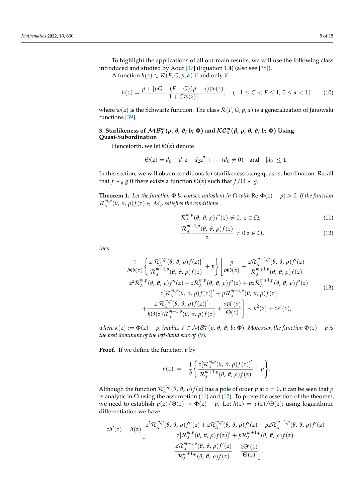To highlight the applications of all our main results, we will use the following class introduced and studied by Aouf [\[37\]](#page-15-17) (Equation 1.4) (also see [\[38\]](#page-15-18)).

A function  $h(z) \in \mathcal{R}(F, G, p, \alpha)$  if and only if

$$
h(z) = \frac{p + [pG + (F - G)(p - \alpha)]w(z)}{[1 + Gw(z)]}, \quad (-1 \le G < F \le 1, 0 \le \alpha < 1)
$$
 (10)

where  $w(z)$  is the Schwartz function. The class  $\mathcal{R}(F,G,p,\alpha)$  is a generalization of Janowski functions [\[39\]](#page-15-19).

## <span id="page-5-0"></span>3. Starlikeness of  $MB_\lambda^m(\rho, \theta, \vartheta; b; \Phi)$  and  $\mathcal{KC}_\lambda^m(\beta, \rho, \theta, \vartheta; b; \Phi)$  Using **Quasi-Subordination**

Henceforth, we let Θ(*z*) denote

$$
\Theta(z) = d_0 + d_1 z + d_2 z^2 + \cdots (d_0 \neq 0) \quad \text{and} \quad |d_0| \leq 1.
$$

In this section, we will obtain conditions for starlikeness using quasi-subordination. Recall that *f*  $\prec_q g$  if there exists a function  $\Theta(z)$  such that  $f/\Theta \prec g$ .

<span id="page-5-3"></span>**Theorem 1.** Let the function  $\Phi$  be convex univalent in  $\Omega$  with  $\text{Re}[\Phi(z) - p] > 0$ . If the function  $\mathcal{R}^{m,p}_{\lambda}$ *λ* (*θ*, *ϑ*, *ρ*)*f*(*z*) ∈ M*<sup>p</sup> satisfies the conditions*

<span id="page-5-1"></span>
$$
\mathcal{R}_{\lambda}^{m,p}(\theta,\vartheta,\rho)f'(z)\neq 0,\,z\in\Omega,\tag{11}
$$

<span id="page-5-2"></span>
$$
\frac{\mathcal{R}_{\lambda}^{m+1,p}(\theta,\vartheta,\rho)f(z)}{z} \neq 0 \, z \in \Omega,
$$
\n(12)

*then*

$$
\frac{1}{b\Theta(z)} \left\{ \frac{z[\mathcal{R}_{\lambda}^{m,p}(\theta, \vartheta, \rho)f(z)]'}{\mathcal{R}_{\lambda}^{m+1,p}(\theta, \vartheta, \rho)f(z)} + p \right\} \left[ \frac{p}{b\Theta(z)} + \frac{z\mathcal{R}_{\lambda}^{m+1,p}(\theta, \vartheta, \rho)f'(z)}{\mathcal{R}_{\lambda}^{m+1,p}(\theta, \vartheta, \rho)f(z)} - \frac{z^{2}\mathcal{R}_{\lambda}^{m,p}(\theta, \vartheta, \rho)f''(z) + z\mathcal{R}_{\lambda}^{m,p}(\theta, \vartheta, \rho)f'(z) + pz\mathcal{R}_{\lambda}^{m+1,p}(\theta, \vartheta, \rho)f'(z)}{z[\mathcal{R}_{\lambda}^{m,p}(\theta, \vartheta, \rho)f(z)]' + p\mathcal{R}_{\lambda}^{m+1,p}(\theta, \vartheta, \rho)f(z)} + \frac{z[\mathcal{R}_{\lambda}^{m,p}(\theta, \vartheta, \rho)f(z)]'}{b\Theta(z)\mathcal{R}_{\lambda}^{m+1,p}(\theta, \vartheta, \rho)f(z)} + \frac{z\Theta'(z)}{\Theta(z)} \right] \prec \kappa^{2}(z) + zk'(z),
$$
\n(13)

 $\mathcal{W}$  *where*  $\kappa(z) := \Phi(z) - p$ , implies  $f \in \mathcal{MB}_{\lambda}^m(\rho, \theta, \vartheta; b; \Phi)$ . Moreover, the function  $\Phi(z) - p$  is *the best dominant of the left-hand side of* [\(9\)](#page-4-1)*.*

**Proof.** If we define the function *p* by

$$
p(z) := -\frac{1}{b} \left\{ \frac{z[\mathcal{R}_{\lambda}^{m,p}(\theta, \vartheta, \rho)f(z)]'}{\mathcal{R}_{\lambda}^{m+1,p}(\theta, \vartheta, \rho)f(z)} + p \right\}.
$$

Although the function  $\mathcal{R}_{\lambda}^{m,p}$ <sup>*m*,*p*</sup>(*θ*, *θ*, *ρ*)*f*(*z*) has a pole of order *p* at *z* = 0, it can be seen that *p* is analytic in  $\Omega$  using the assumption [\(11\)](#page-5-1) and [\(12\)](#page-5-1). To prove the assertion of the theorem, we need to establish  $p(z)/\Theta(z) \prec \Phi(z) - p$ . Let  $h(z) = p(z)/\Theta(z)$ ; using logarithmic differentiation we have

$$
zh'(z) = h(z) \left[ \frac{z^2 \mathcal{R}_{\lambda}^{m,p}(\theta, \vartheta, \rho) f''(z) + z \mathcal{R}_{\lambda}^{m,p}(\theta, \vartheta, \rho) f'(z) + pz \mathcal{R}_{\lambda}^{m+1,p}(\theta, \vartheta, \rho) f'(z)}{z [\mathcal{R}_{\lambda}^{m,p}(\theta, \vartheta, \rho) f(z)]' + p \mathcal{R}_{\lambda}^{m+1,p}(\theta, \vartheta, \rho) f(z)} - \frac{z \mathcal{R}_{\lambda}^{m+1,p}(\theta, \vartheta, \rho) f'(z)}{\mathcal{R}_{\lambda}^{m+1,p}(\theta, \vartheta, \rho) f(z)} - \frac{z \mathcal{O}'(z)}{\Theta(z)} \right].
$$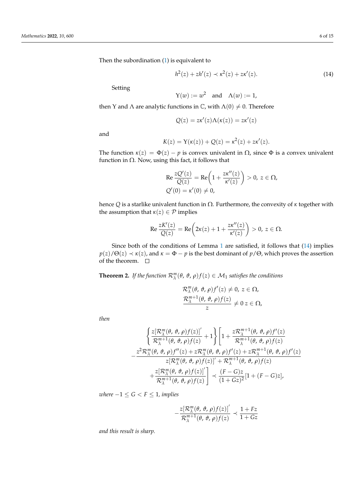Then the subordination [\(1\)](#page-5-2) is equivalent to

<span id="page-6-0"></span>
$$
h^{2}(z) + zh'(z) \prec \kappa^{2}(z) + z\kappa'(z).
$$
 (14)

Setting

$$
Y(w) := w^2 \quad \text{and} \quad \Lambda(w) := 1,
$$

then Y and  $\Lambda$  are analytic functions in  $\mathbb C$ , with  $\Lambda(0) \neq 0$ . Therefore

$$
Q(z) = z\kappa'(z)\Lambda(\kappa(z)) = z\kappa'(z)
$$

and

$$
K(z) = Y(\kappa(z)) + Q(z) = \kappa^{2}(z) + z\kappa'(z).
$$

The function  $\kappa(z) = \Phi(z) - p$  is convex univalent in  $\Omega$ , since  $\Phi$  is a convex univalent function in  $\Omega$ . Now, using this fact, it follows that

$$
\operatorname{Re} \frac{zQ'(z)}{Q(z)} = \operatorname{Re} \left( 1 + \frac{z\kappa''(z)}{\kappa'(z)} \right) > 0, \ z \in \Omega,
$$
  
 
$$
Q'(0) = \kappa'(0) \neq 0,
$$

hence *Q* is a starlike univalent function in Ω. Furthermore, the convexity of *κ* together with the assumption that  $\kappa(z) \in \mathcal{P}$  implies

$$
\text{Re}\,\frac{zK'(z)}{Q(z)}=\text{Re}\bigg(2\kappa(z)+1+\frac{z\kappa''(z)}{\kappa'(z)}\bigg)>0,\,z\in\Omega.
$$

Since both of the conditions of Lemma [1](#page-4-2) are satisfied, it follows that [\(14\)](#page-6-0) implies  $p(z)/\Theta(z) \prec \kappa(z)$ , and  $\kappa = \Phi - p$  is the best dominant of  $p/\Theta$ , which proves the assertion of the theorem.  $\square$ 

<span id="page-6-1"></span>**Theorem 2.** *If the function*  $\mathcal{R}_{\lambda}^{m}(\theta, \vartheta, \rho) f(z) \in \mathcal{M}_1$  satisfies the conditions

$$
\mathcal{R}_{\lambda}^{m}(\theta, \vartheta, \rho) f'(z) \neq 0, z \in \Omega, \n\frac{\mathcal{R}_{\lambda}^{m+1}(\theta, \vartheta, \rho) f(z)}{z} \neq 0 z \in \Omega,
$$

*then*

$$
\begin{aligned}\n&\left\{\frac{z[\mathcal{R}_{\lambda}^{m}(\theta,\vartheta,\rho)f(z)]'}{\mathcal{R}_{\lambda}^{m+1}(\theta,\vartheta,\rho)f(z)}+1\right\}\left[1+\frac{z\mathcal{R}_{\lambda}^{m+1}(\theta,\vartheta,\rho)f'(z)}{\mathcal{R}_{\lambda}^{m+1}(\theta,\vartheta,\rho)f(z)}\\
&-\frac{z^{2}\mathcal{R}_{\lambda}^{m}(\theta,\vartheta,\rho)f''(z)+z\mathcal{R}_{\lambda}^{m}(\theta,\vartheta,\rho)f'(z)+z\mathcal{R}_{\lambda}^{m+1}(\theta,\vartheta,\rho)f'(z)}{z[\mathcal{R}_{\lambda}^{m}(\theta,\vartheta,\rho)f(z)]'+\mathcal{R}_{\lambda}^{m+1}(\theta,\vartheta,\rho)f(z)}\\
&+\frac{z[\mathcal{R}_{\lambda}^{m}(\theta,\vartheta,\rho)f(z)]'}{\mathcal{R}_{\lambda}^{m+1}(\theta,\vartheta,\rho)f(z)}\right]\n\end{aligned}
$$

*where*  $-1 \le G < F \le 1$ *, implies* 

$$
-\frac{z[\mathcal{R}_{\lambda}^{m}(\theta, \vartheta, \rho)f(z)]'}{\mathcal{R}_{\lambda}^{m+1}(\theta, \vartheta, \rho)f(z)} \prec \frac{1 + Fz}{1 + Gz}
$$

*and this result is sharp.*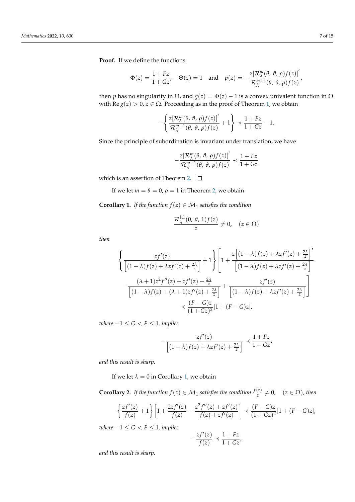**Proof.** If we define the functions

$$
\Phi(z) = \frac{1 + Fz}{1 + Gz}, \quad \Theta(z) = 1 \quad \text{and} \quad p(z) = -\frac{z[\mathcal{R}_{\lambda}^{m}(\theta, \vartheta, \rho)f(z)]'}{\mathcal{R}_{\lambda}^{m+1}(\theta, \vartheta, \rho)f(z)},
$$

then *p* has no singularity in  $Ω$ , and  $g(z) = Φ(z) - 1$  is a convex univalent function in  $Ω$ with Re *g*(*z*) > 0, *z* ∈ Ω. Proceeding as in the proof of Theorem [1,](#page-5-3) we obtain

$$
-\left\{\frac{z[\mathcal{R}_{\lambda}^{m}(\theta, \vartheta, \rho)f(z)]'}{\mathcal{R}_{\lambda}^{m+1}(\theta, \vartheta, \rho)f(z)}+1\right\} \prec \frac{1+Fz}{1+Gz}-1.
$$

Since the principle of subordination is invariant under translation, we have

$$
-\frac{z[\mathcal{R}_{\lambda}^{m}(\theta, \vartheta, \rho)f(z)]'}{\mathcal{R}_{\lambda}^{m+1}(\theta, \vartheta, \rho)f(z)} \prec \frac{1+Fz}{1+Gz}
$$

which is an assertion of Theorem [2.](#page-6-1)  $\square$ 

If we let  $m = \theta = 0$ ,  $\rho = 1$  in Theorem [2,](#page-6-1) we obtain

<span id="page-7-0"></span>**Corollary 1.** *If the function*  $f(z) \in M_1$  *satisfies the condition* 

$$
\frac{\mathcal{R}^{1,1}_{\lambda}(0,\vartheta,1)f(z)}{z}\neq 0, \quad (z\in\Omega)
$$

*then*

$$
\left\{\frac{zf'(z)}{\left[(1-\lambda)f(z)+\lambda zf'(z)+\frac{2\lambda}{z}\right]}+1\right\}\left[1+\frac{z\left[(1-\lambda)f(z)+\lambda zf'(z)+\frac{2\lambda}{z}\right]'}{\left[(1-\lambda)f(z)+\lambda zf'(z)+\frac{2\lambda}{z}\right]}-\frac{(\lambda+1)z^{2}f''(z)+zf'(z)-\frac{2\lambda}{z}}{\left[(1-\lambda)f(z)+(\lambda+1)zf'(z)+\frac{2\lambda}{z}\right]}+\frac{zf'(z)}{\left[(1-\lambda)f(z)+\lambda zf'(z)+\frac{2\lambda}{z}\right]}\right]\prec \frac{(F-G)z}{(1+Gz)^{2}}[1+(F-G)z],
$$

*where*  $-1 \le G < F \le 1$ *, implies* 

$$
-\frac{zf'(z)}{\left[(1-\lambda)f(z)+\lambda zf'(z)+\frac{2\lambda}{z}\right]}\prec\frac{1+Fz}{1+Gz'}
$$

*and this result is sharp.*

If we let  $\lambda = 0$  in Corollary [1,](#page-7-0) we obtain

**Corollary 2.** If the function  $f(z) \in M_1$  satisfies the condition  $\frac{f(z)}{z} \neq 0$ ,  $(z \in \Omega)$ , then

$$
\left\{\frac{zf'(z)}{f(z)}+1\right\} \left[1+\frac{2zf'(z)}{f(z)}-\frac{z^2f''(z)+zf'(z)}{f(z)+zf'(z)}\right] \prec \frac{(F-G)z}{(1+Gz)^2} [1+(F-G)z],
$$

*where*  $-1 \le G < F \le 1$ *, implies* 

$$
-\frac{zf'(z)}{f(z)} \prec \frac{1+Fz}{1+Gz},
$$

*and this result is sharp.*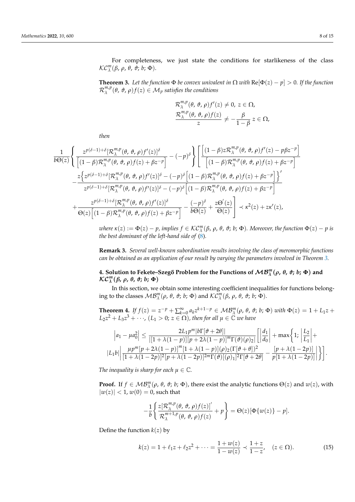For completeness, we just state the conditions for starlikeness of the class KC*<sup>m</sup> λ* (*β*, *ρ*, *θ*, *ϑ*; *b*; Φ).

<span id="page-8-1"></span>**Theorem 3.** Let the function  $\Phi$  be convex univalent in  $\Omega$  with  $\text{Re}[\Phi(z) - p] > 0$ . If the function  $\mathcal{R}_{\lambda}^{m,p}$ *λ* (*θ*, *ϑ*, *ρ*)*f*(*z*) ∈ M*<sup>p</sup> satisfies the conditions*

$$
\mathcal{R}_{\lambda}^{m,p}(\theta, \vartheta, \rho) f'(z) \neq 0, z \in \Omega,
$$
  

$$
\frac{\mathcal{R}_{\lambda}^{m,p}(\theta, \vartheta, \rho) f(z)}{z} \neq -\frac{\beta}{1-\beta} z \in \Omega,
$$

*then*

$$
\frac{1}{b\Theta(z)}\left\{\frac{z^{p(\delta-1)+\delta}[\mathcal{R}_{\lambda}^{m,p}(\theta,\vartheta,\rho)f'(z)]^{\delta}}{\left[(1-\beta)\mathcal{R}_{\lambda}^{m,p}(\theta,\vartheta,\rho)f(z)+\beta z^{-p}\right]} - (-p)^{\delta}\right\}\left[\frac{\left[(1-\beta)z\mathcal{R}_{\lambda}^{m,p}(\theta,\vartheta,\rho)f'(z)-p\beta z^{-p}\right]}{\left[(1-\beta)\mathcal{R}_{\lambda}^{m,p}(\theta,\vartheta,\rho)f(z)+\beta z^{-p}\right]} \\ - \frac{z\left\{z^{p(\delta-1)+\delta}[\mathcal{R}_{\lambda}^{m,p}(\theta,\vartheta,\rho)f'(z)]^{\delta}-(-p)^{\delta}\left[(1-\beta)\mathcal{R}_{\lambda}^{m,p}(\theta,\vartheta,\rho)f(z)+\beta z^{-p}\right]\right\}'}{z^{p(\delta-1)+\delta}[\mathcal{R}_{\lambda}^{m,p}(\theta,\vartheta,\rho)f'(z)]^{\delta}-(-p)^{\delta}\left[(1-\beta)\mathcal{R}_{\lambda}^{m,p}(\theta,\vartheta,\rho)f(z)+\beta z^{-p}\right]} \\ + \frac{z^{p(\delta-1)+\delta}[\mathcal{R}_{\lambda}^{m,p}(\theta,\vartheta,\rho)f'(z)]^{\delta}}{\Theta(z)\left[(1-\beta)\mathcal{R}_{\lambda}^{m,p}(\theta,\vartheta,\rho)f(z)+\beta z^{-p}\right]} - \frac{(-p)^{\delta}}{b\Theta(z)} + \frac{z\Theta'(z)}{\Theta(z)}\right] \prec \kappa^{2}(z) + z\kappa'(z),
$$

*where*  $\kappa(z) := \Phi(z) - p$ , implies  $f \in \mathcal{KC}_{\lambda}^m(\beta, \rho, \theta, \vartheta; b; \Phi)$ . Moreover, the function  $\Phi(z) - p$  is *the best dominant of the left-hand side of* [\(8\)](#page-4-3)*.*

**Remark 3.** *Several well-known subordination results involving the class of meromorphic functions can be obtained as an application of our result by varying the parameters involved in Theorem [3.](#page-8-1)*

# <span id="page-8-0"></span>**4.** Solution to Fekete–Szegő Problem for the Functions of  $\mathcal{MB}_{\lambda}^m(\rho, \theta, \vartheta; b; \Phi)$  and KC*<sup>m</sup> λ* (*β***,** *ρ***,** *θ***,** *ϑ***;** *b***; Φ**)

In this section, we obtain some interesting coefficient inequalities for functions belonging to the classes  $MB_\lambda^m(\rho, \theta, \vartheta; b; \Phi)$  and  $\mathcal{KC}_\lambda^m(\beta, \rho, \theta, \vartheta; b; \Phi)$ .

<span id="page-8-3"></span>**Theorem 4.** If  $f(z) = z^{-p} + \sum_{k=0}^{\infty} a_k z^{k+1-p} \in \mathcal{MB}_{\lambda}^m(\rho, \theta, \vartheta; b; \Phi)$  with  $\Phi(z) = 1 + L_1 z +$  $L_2 z^2 + L_3 z^3 + \cdots$ ,  $(L_1 > 0; z \in \Omega)$ , then for all  $\mu \in \mathbb{C}$  we have

$$
\left| a_1 - \mu a_0^2 \right| \leq \frac{2L_1 p^m |b\Gamma[\vartheta + 2\theta]|}{|[1 + \lambda(1-p)][p + 2\lambda(1-p)]^m \Gamma(\vartheta)(\rho)_2]} \left[ \left| \frac{d_1}{d_0} \right| + \max\left\{ 1; \left| \frac{L_2}{L_1} \right| + \frac{L_1 p^m |b\Gamma[\vartheta + 2\lambda(1-p)]^m [1 + \lambda(1-p)] (\rho)_2 (\Gamma[\vartheta + \theta])^2}{[1 + \lambda(1 - 2p)]^2 [p + \lambda(1 - 2p)]^{2m} \Gamma(\vartheta)[(\rho)_1]^2 \Gamma[\vartheta + 2\theta]} - \frac{[p + \lambda(1 - 2p)]}{p[1 + \lambda(1 - 2p)]} \right] \right\}.
$$

*The inequality is sharp for each*  $\mu \in \mathbb{C}$ *.* 

**Proof.** If  $f \in \mathcal{MB}_{\lambda}^m(\rho, \theta, \vartheta; b; \Phi)$ , there exist the analytic functions  $\Theta(z)$  and  $w(z)$ , with  $|w(z)| < 1, w(0) = 0$ , such that

$$
-\frac{1}{b}\left\{\frac{z[\mathcal{R}_{\lambda}^{m,p}(\theta,\vartheta,\rho)f(z)]'}{\mathcal{R}_{\lambda}^{m+1,p}(\theta,\vartheta,\rho)f(z)}+\rho\right\}=\Theta(z)[\Phi\{w(z)\}-p].
$$

Define the function  $k(z)$  by

<span id="page-8-2"></span>
$$
k(z) = 1 + \ell_1 z + \ell_2 z^2 + \dots = \frac{1 + w(z)}{1 - w(z)} \prec \frac{1 + z}{1 - z}, \quad (z \in \Omega). \tag{15}
$$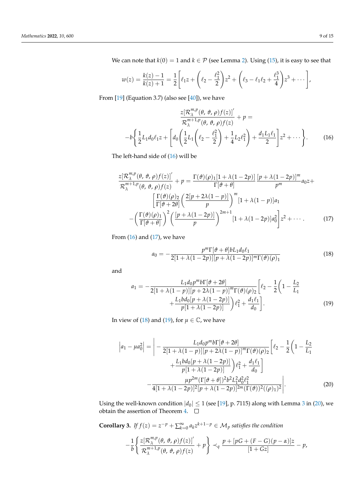We can note that  $k(0) = 1$  and  $k \in \mathcal{P}$  (see Lemma [2\)](#page-4-4). Using [\(15\)](#page-8-2), it is easy to see that

$$
w(z) = \frac{k(z) - 1}{k(z) + 1} = \frac{1}{2} \left[ \ell_1 z + \left( \ell_2 - \frac{\ell_1^2}{2} \right) z^2 + \left( \ell_3 - \ell_1 \ell_2 + \frac{\ell_1^3}{4} \right) z^3 + \cdots \right],
$$

From  $[19]$  (Equation 3.7) (also see  $[40]$ ), we have

<span id="page-9-0"></span>
$$
\frac{z[\mathcal{R}_{\lambda}^{m,p}(\theta, \vartheta, \rho)f(z)]'}{\mathcal{R}_{\lambda}^{m+1,p}(\theta, \vartheta, \rho)f(z)} + p = -b\left\{\frac{1}{2}L_1d_0\ell_1z + \left[d_0\left(\frac{1}{2}L_1\left(\ell_2 - \frac{\ell_1^2}{2}\right) + \frac{1}{4}L_2\ell_1^2\right) + \frac{d_1L_1\ell_1}{2}\right]z^2 + \cdots\right\}.
$$
 (16)

The left-hand side of [\(16\)](#page-9-0) will be

$$
\frac{z[\mathcal{R}_{\lambda}^{m,p}(\theta,\vartheta,\rho)f(z)]'}{\mathcal{R}_{\lambda}^{m+1,p}(\theta,\vartheta,\rho)f(z)} + p = \frac{\Gamma(\vartheta)(\rho)_{1}[1+\lambda(1-2p)]}{\Gamma[\vartheta+\theta]} \frac{[p+\lambda(1-2p)]^{m}}{p^{m}} a_{0}z + \frac{\left[\frac{\Gamma(\vartheta)(\rho)_{2}}{\Gamma[\vartheta+2\theta]}\left(\frac{2[p+2\lambda(1-p)]}{p}\right)^{m}[1+\lambda(1-p)]a_{1}}{p}\right]}{\left[\frac{\Gamma(\vartheta)(\rho)_{1}}{\Gamma[\vartheta+\vartheta]}\right]^{2}\left(\frac{[p+\lambda(1-2p)]}{p}\right)^{2m+1}[1+\lambda(1-2p)]a_{0}^{2}\bigg]z^{2} + \cdots
$$
\n(17)

From  $(16)$  and  $(17)$ , we have

<span id="page-9-3"></span><span id="page-9-2"></span><span id="page-9-1"></span>
$$
a_0 = -\frac{p^m \Gamma[\theta + \theta] b L_1 d_0 \ell_1}{2[1 + \lambda(1 - 2p)][p + \lambda(1 - 2p)]^m \Gamma(\theta)(\rho)_1}
$$
(18)

and

$$
a_1 = -\frac{L_1 d_0 p^m b \Gamma[\vartheta + 2\theta]}{2[1 + \lambda(1 - p)][p + 2\lambda(1 - p)]^m \Gamma(\vartheta)(\rho)_2} \left[ \ell_2 - \frac{1}{2} \left( 1 - \frac{L_2}{L_1} + \frac{L_1 b d_0 [p + \lambda(1 - 2p)]}{p[1 + \lambda(1 - 2p)]} \right) \ell_1^2 + \frac{d_1 \ell_1}{d_0} \right].
$$
\n(19)

In view of [\(18\)](#page-9-2) and [\(19\)](#page-9-3), for  $\mu \in \mathbb{C}$ , we have

$$
\left| a_{1} - \mu a_{0}^{2} \right| = \left| -\frac{L_{1} d_{0} p^{m} b \Gamma[\vartheta + 2\theta]}{2[1 + \lambda(1 - p)][p + 2\lambda(1 - p)]^{m} \Gamma(\vartheta)(\rho)_{2}} \right| \ell_{2} - \frac{1}{2} \left( 1 - \frac{L_{2}}{L_{1}} + \frac{L_{1} b d_{0} [p + \lambda(1 - 2p)]}{p[1 + \lambda(1 - 2p)]} \right) \ell_{1}^{2} + \frac{d_{1} \ell_{1}}{d_{0}} \right|
$$

$$
- \frac{\mu p^{2m} (\Gamma[\vartheta + \theta])^{2} b^{2} L_{1}^{2} d_{0}^{2} \ell_{1}^{2}}{4[1 + \lambda(1 - 2p)]^{2} [p + \lambda(1 - 2p)]^{2m} (\Gamma(\vartheta))^{2} ((\rho)_{1})^{2}} \Big|.
$$
(20)

Using the well-known condition  $|d_0| \leq 1$  (see [\[19\]](#page-15-20), p. 7115) along with Lemma [3](#page-4-5) in [\(20\)](#page-9-4), we obtain the assertion of Theorem [4.](#page-8-3)

<span id="page-9-5"></span>**Corollary 3.** *If*  $f(z) = z^{-p} + \sum_{k=0}^{\infty} a_k z^{k+1-p} \in \mathcal{M}_p$  satisfies the condition

<span id="page-9-4"></span>
$$
-\frac{1}{b}\left\{\frac{z[\mathcal{R}_{\lambda}^{m,p}(\theta,\vartheta,\rho)f(z)]'}{\mathcal{R}_{\lambda}^{m+1,p}(\theta,\vartheta,\rho)f(z)}+\rho\right\} \prec_q \frac{p+[pG+(F-G)(p-\alpha)]z}{[1+Gz]}-\rho,
$$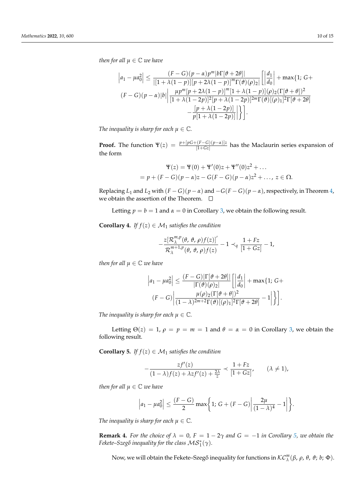*then for all*  $\mu \in \mathbb{C}$  *we have* 

$$
\left| a_1 - \mu a_0^2 \right| \le \frac{(F - G)(p - \alpha)p^m|b\Gamma[\vartheta + 2\theta]|}{|[1 + \lambda(1 - p)][p + 2\lambda(1 - p)]^m \Gamma(\vartheta)(\rho)_2]} \left[ \left| \frac{d_1}{d_0} \right| + \max\{1; G +
$$
  

$$
(F - G)(p - \alpha)|b| \left| \frac{\mu p^m[p + 2\lambda(1 - p)]^m[1 + \lambda(1 - p)](\rho)_2(\Gamma[\vartheta + \theta])^2}{[1 + \lambda(1 - 2p)]^2[p + \lambda(1 - 2p)]^{2m} \Gamma(\vartheta)[(\rho)_1]^2 \Gamma[\vartheta + 2\theta]} - \frac{[p + \lambda(1 - 2p)]}{p[1 + \lambda(1 - 2p)]} \right| \}.
$$

*The inequality is sharp for each*  $\mu \in \mathbb{C}$ *.* 

**Proof.** The function  $\Psi(z) = \frac{p+[pG+(F-G)(p-\alpha)]z}{[1+Gz]}$  has the Maclaurin series expansion of the form

$$
\Psi(z) = \Psi(0) + \Psi'(0)z + \Psi''(0)z^2 + \dots
$$
  
=  $p + (F - G)(p - \alpha)z - G(F - G)(p - \alpha)z^2 + \dots, z \in \Omega.$ 

Replacing *L*<sub>1</sub> and *L*<sub>2</sub> with  $(F - G)(p - \alpha)$  and  $-G(F - G)(p - \alpha)$ , respectively, in Theorem [4,](#page-8-3) we obtain the assertion of the Theorem.  $\quad \Box$ 

Letting  $p = b = 1$  and  $\alpha = 0$  in Corollary [3,](#page-9-5) we obtain the following result.

**Corollary 4.** *If*  $f(z) \in M_1$  *satisfies the condition* 

$$
-\frac{z[\mathcal{R}_{\lambda}^{m,p}(\theta,\vartheta,\rho)f(z)]'}{\mathcal{R}_{\lambda}^{m+1,p}(\theta,\vartheta,\rho)f(z)}-1\prec_q \frac{1+Fz}{[1+Gz]}-1,
$$

*then for all*  $\mu \in \mathbb{C}$  *we have* 

$$
\left|a_1 - \mu a_0^2\right| \le \frac{(F - G)|\Gamma[\vartheta + 2\theta]|}{|\Gamma(\vartheta)(\rho)_2|} \left[\left|\frac{d_1}{d_0}\right| + \max\{1; G + \frac{\mu(\rho)_2(\Gamma[\vartheta + \theta])^2}{(1 - \lambda)^{2m+2}\Gamma(\vartheta)[(\rho)_1]^2\Gamma[\vartheta + 2\theta]} - 1\right|\right\}.
$$

*The inequality is sharp for each*  $\mu \in \mathbb{C}$ *.* 

Letting  $\Theta(z) = 1$ ,  $\rho = p = m = 1$  and  $\theta = \alpha = 0$  in Corollary [3,](#page-9-5) we obtain the following result.

<span id="page-10-0"></span>**Corollary 5.** *If*  $f(z) \in M_1$  *satisfies the condition* 

$$
-\frac{zf'(z)}{(1-\lambda)f(z)+\lambda zf'(z)+\frac{2\lambda}{z}} \prec \frac{1+Fz}{[1+Gz]}, \qquad (\lambda \neq 1),
$$

*then for all*  $\mu \in \mathbb{C}$  *we have* 

$$
\left|a_1 - \mu a_0^2\right| \le \frac{(F-G)}{2} \max\bigg\{1; G + (F-G) \bigg| \frac{2\mu}{(1-\lambda)^4} - 1\bigg|\bigg\}.
$$

*The inequality is sharp for each*  $\mu \in \mathbb{C}$ *.* 

**Remark 4.** For the choice of  $\lambda = 0$ ,  $F = 1 - 2\gamma$  and  $G = -1$  in Corollary [5,](#page-10-0) we obtain the Fekete–Szegő inequality for the class  $\mathcal{MS}^*_1(\gamma)$ .

Now, we will obtain the Fekete–Szeg˝o inequality for functions in KC*<sup>m</sup> λ* (*β*, *ρ*, *θ*, *ϑ*; *b*; Φ).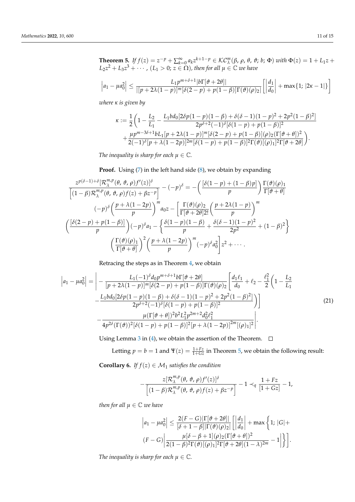<span id="page-11-1"></span>**Theorem 5.** If  $f(z) = z^{-p} + \sum_{k=0}^{\infty} a_k z^{k+1-p} \in \mathcal{KC}_{\lambda}^m(\beta, \rho, \theta, \vartheta; b; \Phi)$  with  $\Phi(z) = 1 + L_1 z +$  $L_2 z^2 + L_3 z^3 + \cdots$ ,  $(L_1 > 0; z \in \Omega)$ , then for all  $\mu \in \mathbb{C}$  *we have* 

$$
\left|a_1 - \mu a_0^2\right| \le \frac{L_1 p^{m+\delta+1} |\partial \Gamma[\vartheta + 2\theta]|}{\left|[p+2\lambda(1-p)\right]^m [\delta(2-p) + p(1-\beta)] \Gamma(\vartheta)(\rho)_2|} \left[\left|\frac{d_1}{d_0}\right| + \max\{1; |2\kappa - 1|\}\right]
$$

*where κ is given by*

$$
\kappa := \frac{1}{2} \left( 1 - \frac{L_2}{L_1} - \frac{L_1 bd_0[2\delta p(1-p)(1-\beta) + \delta(\delta-1)(1-p)^2 + 2p^2(1-\beta)^2]}{2p^{\delta+2}(-1)^{\delta}[\delta(1-p) + p(1-\beta)]^2} + \frac{\mu p^{m-3\delta+1}bL_1[p+2\lambda(1-p)]^m[\delta(2-p) + p(1-\beta)](\rho)_2(\Gamma[\vartheta+\theta])^2}{2(-1)^{\delta}[p+\lambda(1-2p)]^{2m}[\delta(1-p) + p(1-\beta)]^2\Gamma(\vartheta)[(\rho)_1]^2\Gamma[\vartheta+2\theta]} \right).
$$

*The inequality is sharp for each*  $\mu \in \mathbb{C}$ *.* 

**Proof.** Using [\(7\)](#page-3-2) in the left hand side [\(8\)](#page-4-3), we obtain by expanding

$$
\frac{z^{p(\delta-1)+\delta}[\mathcal{R}_{\lambda}^{m,p}(\theta, \vartheta, \rho)f'(z)]^{\delta}}{\left[(1-\beta)\mathcal{R}_{\lambda}^{m,p}(\theta, \vartheta, \rho)f(z)+\beta z^{-p}\right]} - (-p)^{\delta} = -\left(\frac{[\delta(1-p)+(1-\beta)p]}{p}\right)\frac{\Gamma(\vartheta)(\rho)_{1}}{\Gamma[\vartheta+\theta]}
$$

$$
(-p)^{\delta}\left(\frac{p+\lambda(1-2p)}{p}\right)^{m}a_{0}z - \left[\frac{\Gamma(\vartheta)(\rho)_{2}}{\Gamma[\vartheta+2\theta]2!}\left(\frac{p+2\lambda(1-p)}{p}\right)^{m}\right]
$$

$$
\left(\frac{[\delta(2-p)+p(1-\beta)]}{p}\right)(-p)^{\delta}a_{1} - \left\{\frac{\delta(1-p)(1-\beta)}{p} + \frac{\delta(\delta-1)(1-p)^{2}}{2p^{2}} + (1-\beta)^{2}\right\}
$$

$$
\left(\frac{\Gamma(\vartheta)(\rho)_{1}}{\Gamma[\vartheta+\theta]}\right)^{2}\left(\frac{p+\lambda(1-2p)}{p}\right)^{m}(-p)^{\delta}a_{0}^{2}\right]z^{2} + \cdots
$$

Retracing the steps as in Theorem [4,](#page-8-3) we obtain

$$
\left| a_{1} - \mu a_{0}^{2} \right| = \left| - \frac{L_{1}(-1)^{\delta} d_{0} p^{m+\delta+1} b \Gamma[\vartheta + 2\theta]}{[p + 2\lambda(1-p)]^{m} [\delta(2-p) + p(1-\beta)] \Gamma(\vartheta)(\rho)_{2}} \right| \frac{d_{1} \ell_{1}}{d_{0}} + \ell_{2} - \frac{\ell_{1}^{2}}{2} \left( 1 - \frac{L_{2}}{L_{1}} - \frac{L_{1} b d_{0} [2\delta p(1-p)(1-\beta) + \delta(\delta-1)(1-p)^{2} + 2p^{2}(1-\beta)^{2}]}{2p^{\delta+2}(-1)^{\delta} [\delta(1-p) + p(1-\beta)]^{2}} \right) \right]
$$
\n
$$
- \frac{\mu (\Gamma[\vartheta + \theta])^{2} b^{2} L_{1}^{2} p^{2m+2} d_{0}^{2} \ell_{1}^{2}}{4p^{2\delta} (\Gamma(\vartheta))^{2} [\delta(1-p) + p(1-\beta)]^{2} [p + \lambda(1-2p)]^{2m} [(\rho)_{1}]^{2}} \right|.
$$
\n(21)

Using Lemma [3](#page-4-5) in [\(4\)](#page-11-0), we obtain the assertion of the Theorem.  $\Box$ 

Letting  $p = b = 1$  and  $\Psi(z) = \frac{1+Fz}{1+Gz}$  in Theorem [5,](#page-11-1) we obtain the following result:

<span id="page-11-2"></span>**Corollary 6.** *If*  $f(z) \in M_1$  *satisfies the condition* 

<span id="page-11-0"></span>
$$
-\frac{z[\mathcal{R}_{\lambda}^{m,p}(\theta,\vartheta,\rho)f'(z)]^{\delta}}{\left[(1-\beta)\mathcal{R}_{\lambda}^{m,p}(\theta,\vartheta,\rho)f(z)+\beta z^{-p}\right]}-1\prec_{q}\frac{1+Fz}{[1+Gz]}-1,
$$

*then for all*  $\mu \in \mathbb{C}$  *we have* 

$$
\left|a_1 - \mu a_0^2\right| \le \frac{2(F - G)|\Gamma[\vartheta + 2\theta]|}{[\delta + 1 - \beta]|\Gamma(\vartheta)(\rho)_2|} \left[\left|\frac{d_1}{d_0}\right| + \max\left\{1; |G| + \frac{\mu[\delta - \beta + 1](\rho)_2(\Gamma[\vartheta + \theta])^2}{2(1 - \beta)^2 \Gamma(\vartheta)[(\rho)_1]^2 \Gamma[\vartheta + 2\theta](1 - \lambda)^{2m}} - 1\right|\right\}.
$$

*The inequality is sharp for each*  $\mu \in \mathbb{C}$ *.*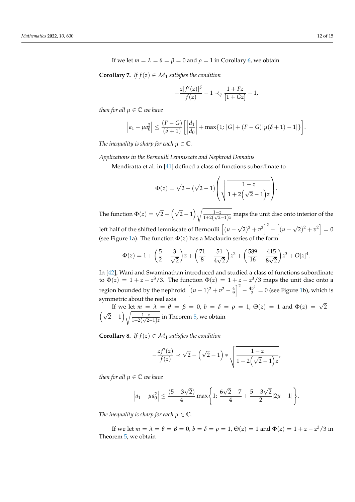**Corollary 7.** *If*  $f(z) \in M_1$  *satisfies the condition* 

$$
-\frac{z[f'(z)]^{\delta}}{f(z)}-1 \prec_{q} \frac{1+Fz}{[1+Gz]}-1,
$$

*then for all*  $\mu \in \mathbb{C}$  *we have* 

$$
\left|a_1 - \mu a_0^2\right| \le \frac{(F-G)}{(\delta+1)} \left[\left|\frac{d_1}{d_0}\right| + \max\{1; |G| + (F-G)|\mu(\delta+1) - 1|\}\right].
$$

*The inequality is sharp for each*  $\mu \in \mathbb{C}$ *.* 

*Applications in the Bernoulli Lemniscate and Nephroid Domains*

Mendiratta et al. in [\[41\]](#page-15-22) defined a class of functions subordinate to

$$
\Phi(z) = \sqrt{2} - (\sqrt{2} - 1) \left( \sqrt{\frac{1 - z}{1 + 2(\sqrt{2} - 1)z}} \right).
$$

The function  $\Phi(z) = \sqrt{2} - (\sqrt{2} - 1) \sqrt{\frac{1 - z^2}{1 + z^2} \sqrt{z^2}}$  $\frac{1-z}{1+2(\sqrt{2}-1)z}$  maps the unit disc onto interior of the left half of the shifted lemniscate of Bernoulli  $\int(u-\bar{u})du$ √  $\sqrt{2}$ <sup>2</sup> +  $v^2$ <sup>2</sup> -  $\int$  (*u* – √  $\sqrt{2^2 + v^2} = 0$ 

(see Figure [1a](#page-13-0)). The function  $\Phi(z)$  has a Maclaurin series of the form

$$
\Phi(z) = 1 + \left(\frac{5}{2} - \frac{3}{\sqrt{2}}\right)z + \left(\frac{71}{8} - \frac{51}{4\sqrt{2}}\right)z^2 + \left(\frac{589}{16} - \frac{415}{8\sqrt{2}}\right)z^3 + O[z]^4.
$$

In [\[42\]](#page-15-23), Wani and Swaminathan introduced and studied a class of functions subordinate to  $\Phi(z) = 1 + z - z^3/3$ . The function  $\Phi(z) = 1 + z - z^3/3$  maps the unit disc onto a region bounded by the nephroid  $\left[(u-1)^2+v^2-\frac{4}{9}\right]^2-\frac{4v^2}{3}=0$  (see Figure [1b](#page-13-0)), which is symmetric about the real axis.

If we let  $m = \lambda = \theta = \beta = 0$ ,  $b = \delta = \rho = 1$ ,  $\Theta(z) = 1$  and  $\Phi(z) = \sqrt{2} - \Phi(z)$  $(\sqrt{2}-1)\sqrt{\frac{1-z}{1+2\sqrt{2}}}\$  $\frac{1-z}{1+2(\sqrt{2}-1)z}$  in Theorem [5,](#page-11-1) we obtain

**Corollary 8.** *If*  $f(z) \in M_1$  *satisfies the condition* 

$$
-\frac{zf'(z)}{f(z)} \prec \sqrt{2} - (\sqrt{2} - 1) * \sqrt{\frac{1-z}{1+2(\sqrt{2}-1)z}}
$$

*then for all*  $\mu \in \mathbb{C}$  *we have* 

$$
\left|a_1 - \mu a_0^2\right| \le \frac{(5 - 3\sqrt{2})}{4} \max\left\{1; \frac{6\sqrt{2} - 7}{4} + \frac{5 - 3\sqrt{2}}{2} |2\mu - 1|\right\}.
$$

*The inequality is sharp for each*  $\mu \in \mathbb{C}$ *.* 

If we let  $m = \lambda = \theta = \beta = 0$ ,  $b = \delta = \rho = 1$ ,  $\Theta(z) = 1$  and  $\Phi(z) = 1 + z - z^3/3$  in Theorem [5,](#page-11-1) we obtain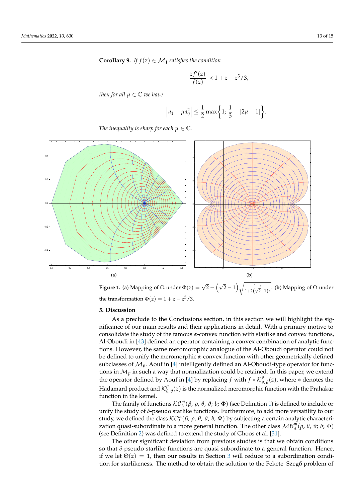**Corollary 9.** *If*  $f(z) \in M_1$  *satisfies the condition* 

$$
-\frac{zf'(z)}{f(z)} \prec 1+z-z^3/3,
$$

*then for all*  $\mu \in \mathbb{C}$  *we have* 

$$
\left|a_1 - \mu a_0^2\right| \le \frac{1}{2} \max\left\{1; \frac{1}{3} + |2\mu - 1|\right\}.
$$

<span id="page-13-0"></span>*The inequality is sharp for each*  $\mu \in \mathbb{C}$ *.* 



**Figure 1.** (a) Mapping of  $\Omega$  under  $\Phi(z) = \sqrt{2} - (\sqrt{2}-1)\sqrt{\frac{1-z}{1+2(\sqrt{2}-1)z}}$ . (b) Mapping of  $\Omega$  under the transformation  $\Phi(z) = 1 + z - z^3/3$ .

### **5. Discussion**

As a preclude to the Conclusions section, in this section we will highlight the significance of our main results and their applications in detail. With a primary motive to consolidate the study of the famous *α*-convex function with starlike and convex functions, Al-Oboudi in [\[43\]](#page-15-24) defined an operator containing a convex combination of analytic functions. However, the same meromorophic analogue of the Al-Oboudi operator could not be defined to unify the meromorphic *α*-convex function with other geometrically defined subclasses of  $\mathcal{M}_p$ . Aouf in [\[4\]](#page-14-3) intelligently defined an Al-Oboudi-type operator for functions in  $M_p$  in such a way that normalization could be retained. In this paper, we extend the operator defined by Aouf in [\[4\]](#page-14-3) by replacing *f* with  $f * \mathcal{K}^{\rho}_{\theta, \theta}(z)$ , where  $*$  denotes the Hadamard product and  $\mathcal{K}^\rho_\theta$  $^{\rho}_{\theta, \vartheta}(z)$  is the normalized meromorphic function with the Prahakar function in the kernel.

The family of functions  $\mathcal{KC}_{\lambda}^m(\beta, \rho, \theta, \vartheta; b; \Phi)$  (see Definition [1\)](#page-4-6) is defined to include or unify the study of *δ*-pseudo starlike functions. Furthermore, to add more versatility to our study, we defined the class  $\mathcal{KC}_\lambda^m(\beta, \rho, \theta, \vartheta; b; \Phi)$  by subjecting a certain analytic characterization quasi-subordinate to a more general function. The other class  $MB_\lambda^m(\rho, \theta, \vartheta; b; \Phi)$ (see Definition [2\)](#page-4-7) was defined to extend the study of Ghoos et al. [\[31\]](#page-15-11).

The other significant deviation from previous studies is that we obtain conditions so that *δ*-pseudo starlike functions are quasi-subordinate to a general function. Hence, if we let  $\Theta(z) = 1$ , then our results in Section [3](#page-5-0) will reduce to a subordination condition for starlikeness. The method to obtain the solution to the Fekete–Szegő problem of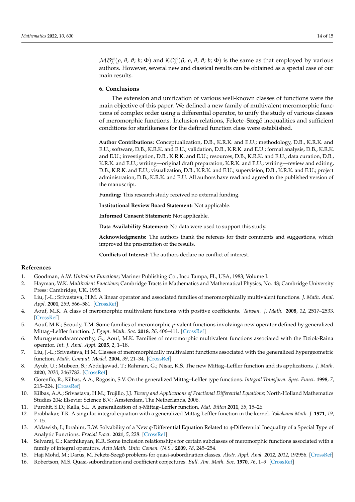*MB*<sup>*m*</sup></sup>( $ρ$ ,  $θ$ ,  $θ$ ;  $b$ ;  $Φ$ ) and  $\mathcal{K}C^m_\lambda(\beta, \rho, \theta, \vartheta; b; \Phi)$  is the same as that employed by various authors. However, several new and classical results can be obtained as a special case of our main results.

### **6. Conclusions**

The extension and unification of various well-known classes of functions were the main objective of this paper. We defined a new family of multivalent meromorphic functions of complex order using a differential operator, to unify the study of various classes of meromorphic functions. Inclusion relations, Fekete–Szegő inequalities and sufficient conditions for starlikeness for the defined function class were established.

**Author Contributions:** Conceptualization, D.B., K.R.K. and E.U.; methodology, D.B., K.R.K. and E.U.; software, D.B., K.R.K. and E.U.; validation, D.B., K.R.K. and E.U.; formal analysis, D.B., K.R.K. and E.U.; investigation, D.B., K.R.K. and E.U.; resources, D.B., K.R.K. and E.U.; data curation, D.B., K.R.K. and E.U.; writing—original draft preparation, K.R.K. and E.U.; writing—review and editing, D.B., K.R.K. and E.U.; visualization, D.B., K.R.K. and E.U.; supervision, D.B., K.R.K. and E.U.; project administration, D.B., K.R.K. and E.U. All authors have read and agreed to the published version of the manuscript.

**Funding:** This research study received no external funding.

**Institutional Review Board Statement:** Not applicable.

**Informed Consent Statement:** Not applicable.

**Data Availability Statement:** No data were used to support this study.

**Acknowledgments:** The authors thank the referees for their comments and suggestions, which improved the presentation of the results.

**Conflicts of Interest:** The authors declare no conflict of interest.

#### **References**

- <span id="page-14-0"></span>1. Goodman, A.W. *Univalent Functions*; Mariner Publishing Co., Inc.: Tampa, FL, USA, 1983; Volume I.
- <span id="page-14-1"></span>2. Hayman, W.K. *Multivalent Functions*; Cambridge Tracts in Mathematics and Mathematical Physics, No. 48; Cambridge University Press: Cambridge, UK, 1958.
- <span id="page-14-2"></span>3. Liu, J.-L.; Srivastava, H.M. A linear operator and associated families of meromorphically multivalent functions. *J. Math. Anal. Appl.* **2001**, *259*, 566–581. [\[CrossRef\]](http://doi.org/10.1006/jmaa.2000.7430)
- <span id="page-14-3"></span>4. Aouf, M.K. A class of meromorphic multivalent functions with positive coefficients. *Taiwan. J. Math.* **2008**, *12*, 2517–2533. [\[CrossRef\]](http://dx.doi.org/10.11650/twjm/1500405193)
- <span id="page-14-4"></span>5. Aouf, M.K.; Seoudy, T.M. Some families of meromorphic *p*-valent functions involvinga new operator defined by generalized Mittag–Leffler function. *J. Egypt. Math. Soc.* **2018**, *26*, 406–411. [\[CrossRef\]](http://dx.doi.org/10.21608/joems.2018.2884.1043)
- 6. Murugusundaramoorthy, G.; Aouf, M.K. Families of meromorphic multivalent functions associated with the Dziok-Raina operator. *Int. J. Anal. Appl.* **2005**, *2*, 1–18.
- <span id="page-14-5"></span>7. Liu, J.-L.; Srivastava, H.M. Classes of meromorphically multivalent functions associated with the generalized hypergeometric function. *Math. Comput. Model.* **2004**, *39*, 21–34. [\[CrossRef\]](http://dx.doi.org/10.1016/S0895-7177(04)90503-1)
- <span id="page-14-6"></span>8. Ayub, U.; Mubeen, S.; Abdeljawad, T.; Rahman, G.; Nisar, K.S. The new Mittag–Leffler function and its applications. *J. Math.* **2020**, *2020*, 2463782. [\[CrossRef\]](http://dx.doi.org/10.1155/2020/2463782)
- 9. Gorenflo, R.; Kilbas, A.A.; Rogosin, S.V. On the generalized Mittag–Leffler type functions. *Integral Transform. Spec. Funct.* **1998**, *7*, 215–224. [\[CrossRef\]](http://dx.doi.org/10.1080/10652469808819200)
- 10. Kilbas, A.A.; Srivastava, H.M.; Trujillo, J.J. *Theory and Applications of Fractional Differential Equations*; North-Holland Mathematics Studies 204; Elsevier Science B.V.: Amsterdam, The Netherlands, 2006.
- <span id="page-14-7"></span>11. Purohit, S.D.; Kalla, S.L. A generalization of *q*-Mittag–Leffler function. *Mat. Bilten* **2011**, *35*, 15–26.
- <span id="page-14-8"></span>12. Prabhakar, T.R. A singular integral equation with a generalized Mittag Leffler function in the kernel. *Yokohama Math. J.* **1971**, *19*, 7–15.
- <span id="page-14-9"></span>13. Aldawish, I.; Ibrahim, R.W. Solvability of a New *q*-Differential Equation Related to *q*-Differential Inequality of a Special Type of Analytic Functions. *Fractal Fract.* **2021**, *5*, 228. [\[CrossRef\]](http://dx.doi.org/10.3390/fractalfract5040228)
- <span id="page-14-10"></span>14. Selvaraj, C.; Karthikeyan, K.R. Some inclusion relationships for certain subclasses of meromorphic functions associated with a family of integral operators. *Acta Math. Univ. Comen. (N.S.)* **2009**, *78*, 245–254.
- <span id="page-14-11"></span>15. Haji Mohd, M.; Darus, M. Fekete-Szegő problems for quasi-subordination classes. Abstr. Appl. Anal. 2012, 2012, 192956. [\[CrossRef\]](http://dx.doi.org/10.1155/2012/192956)
- <span id="page-14-12"></span>16. Robertson, M.S. Quasi-subordination and coefficient conjectures. *Bull. Am. Math. Soc.* **1970**, *76*, 1–9. [\[CrossRef\]](http://dx.doi.org/10.1090/S0002-9904-1970-12356-4)